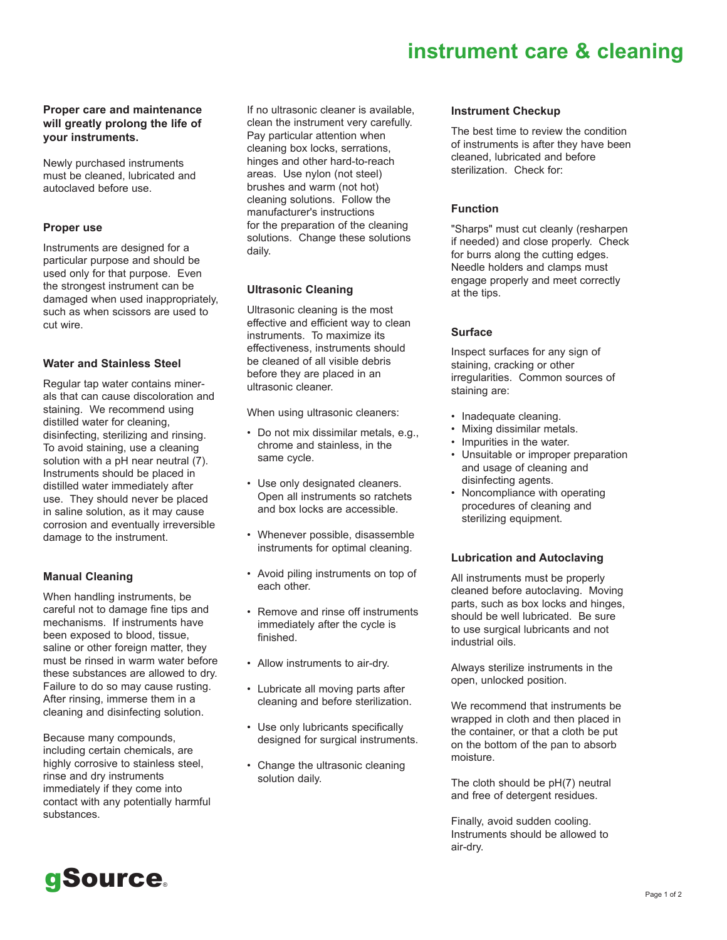# **instrument care & cleaning**

## **Proper care and maintenance will greatly prolong the life of your instruments.**

Newly purchased instruments must be cleaned, lubricated and autoclaved before use.

#### **Proper use**

Instruments are designed for a particular purpose and should be used only for that purpose. Even the strongest instrument can be damaged when used inappropriately, such as when scissors are used to cut wire.

#### **Water and Stainless Steel**

Regular tap water contains minerals that can cause discoloration and staining. We recommend using distilled water for cleaning, disinfecting, sterilizing and rinsing. To avoid staining, use a cleaning solution with a pH near neutral (7). Instruments should be placed in distilled water immediately after use. They should never be placed in saline solution, as it may cause corrosion and eventually irreversible damage to the instrument.

## **Manual Cleaning**

When handling instruments, be careful not to damage fine tips and mechanisms. If instruments have been exposed to blood, tissue, saline or other foreign matter, they must be rinsed in warm water before these substances are allowed to dry. Failure to do so may cause rusting. After rinsing, immerse them in a cleaning and disinfecting solution.

Because many compounds, including certain chemicals, are highly corrosive to stainless steel, rinse and dry instruments immediately if they come into contact with any potentially harmful substances.

If no ultrasonic cleaner is available, clean the instrument very carefully. Pay particular attention when cleaning box locks, serrations, hinges and other hard-to-reach areas. Use nylon (not steel) brushes and warm (not hot) cleaning solutions. Follow the manufacturer's instructions for the preparation of the cleaning solutions. Change these solutions daily.

## **Ultrasonic Cleaning**

Ultrasonic cleaning is the most effective and efficient way to clean instruments. To maximize its effectiveness, instruments should be cleaned of all visible debris before they are placed in an ultrasonic cleaner.

When using ultrasonic cleaners:

- Do not mix dissimilar metals, e.g., chrome and stainless, in the same cycle.
- Use only designated cleaners. Open all instruments so ratchets and box locks are accessible.
- Whenever possible, disassemble instruments for optimal cleaning.
- Avoid piling instruments on top of each other.
- Remove and rinse off instruments immediately after the cycle is finished.
- Allow instruments to air-dry.
- Lubricate all moving parts after cleaning and before sterilization.
- Use only lubricants specifically designed for surgical instruments.
- Change the ultrasonic cleaning solution daily.

#### **Instrument Checkup**

The best time to review the condition of instruments is after they have been cleaned, lubricated and before sterilization. Check for:

## **Function**

"Sharps" must cut cleanly (resharpen if needed) and close properly. Check for burrs along the cutting edges. Needle holders and clamps must engage properly and meet correctly at the tips.

## **Surface**

Inspect surfaces for any sign of staining, cracking or other irregularities. Common sources of staining are:

- Inadequate cleaning.
- Mixing dissimilar metals.
- Impurities in the water.
- Unsuitable or improper preparation and usage of cleaning and disinfecting agents.
- Noncompliance with operating procedures of cleaning and sterilizing equipment.

## **Lubrication and Autoclaving**

All instruments must be properly cleaned before autoclaving. Moving parts, such as box locks and hinges, should be well lubricated. Be sure to use surgical lubricants and not industrial oils.

Always sterilize instruments in the open, unlocked position.

We recommend that instruments be wrapped in cloth and then placed in the container, or that a cloth be put on the bottom of the pan to absorb moisture.

The cloth should be pH(7) neutral and free of detergent residues.

Finally, avoid sudden cooling. Instruments should be allowed to air-dry.